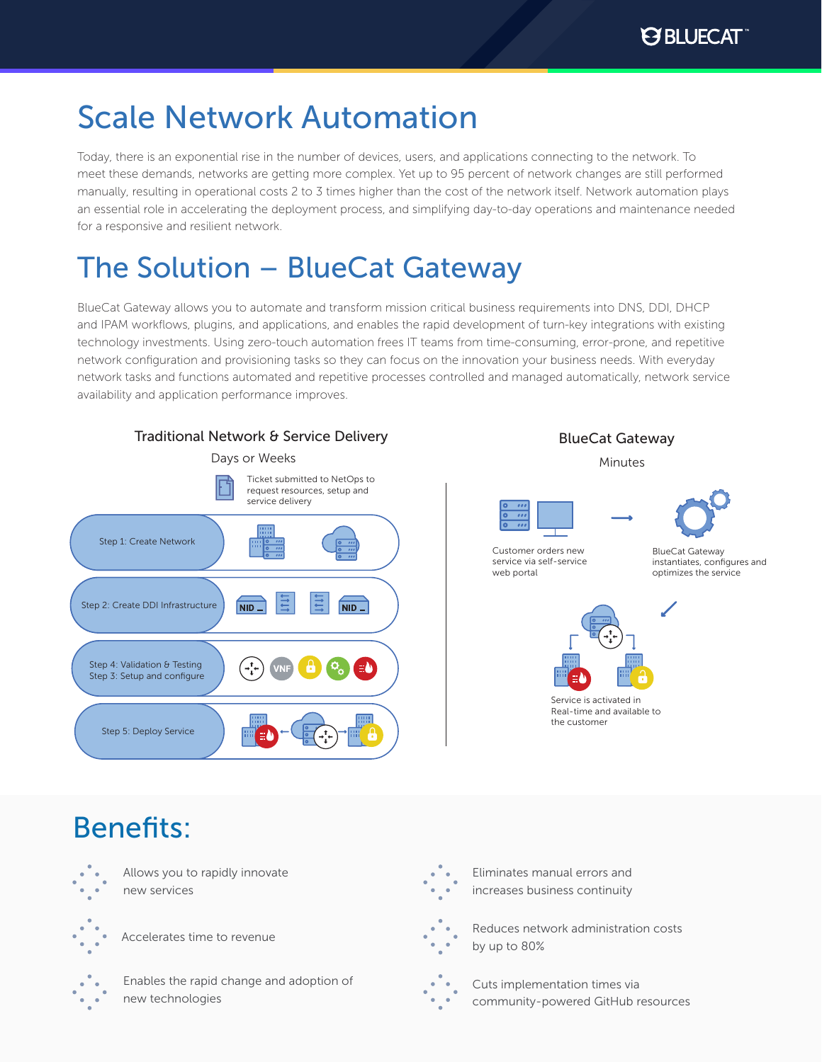# Scale Network Automation

Today, there is an exponential rise in the number of devices, users, and applications connecting to the network. To meet these demands, networks are getting more complex. Yet up to 95 percent of network changes are still performed manually, resulting in operational costs 2 to 3 times higher than the cost of the network itself. Network automation plays an essential role in accelerating the deployment process, and simplifying day-to-day operations and maintenance needed for a responsive and resilient network.

# The Solution – BlueCat Gateway

BlueCat Gateway allows you to automate and transform mission critical business requirements into DNS, DDI, DHCP and IPAM workflows, plugins, and applications, and enables the rapid development of turn-key integrations with existing technology investments. Using zero-touch automation frees IT teams from time-consuming, error-prone, and repetitive network configuration and provisioning tasks so they can focus on the innovation your business needs. With everyday network tasks and functions automated and repetitive processes controlled and managed automatically, network service availability and application performance improves.



## Benefits:



new services

Allows you to rapidly innovate

Accelerates time to revenue

Enables the rapid change and adoption of new technologies



Eliminates manual errors and increases business continuity



Reduces network administration costs by up to 80%



Cuts implementation times via community-powered GitHub resources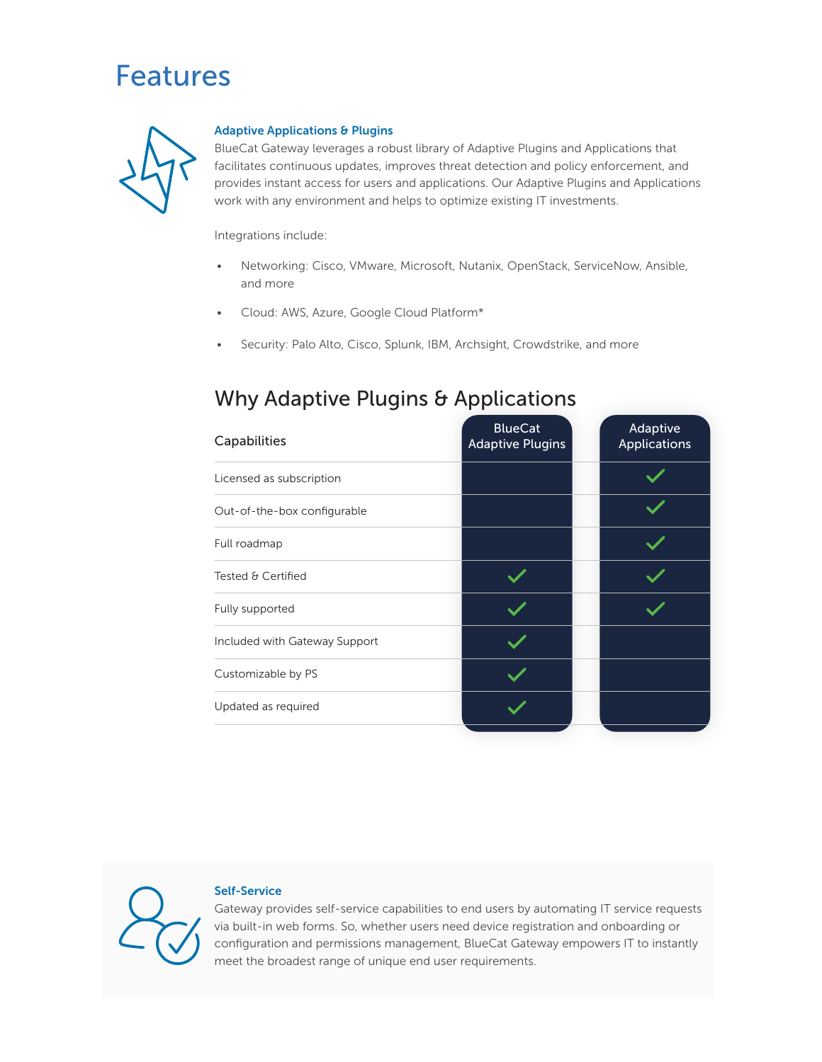### Features



#### Adaptive Applications & Plugins

BlueCat Gateway leverages a robust library of Adaptive Plugins and Applications that facilitates continuous updates, improves threat detection and policy enforcement, and provides instant access for users and applications. Our Adaptive Plugins and Applications work with any environment and helps to optimize existing IT investments.

Integrations include:

- Networking: Cisco, VMware, Microsoft, Nutanix, OpenStack, ServiceNow, Ansible, and more
- Cloud: AWS, Azure, Google Cloud Platform\*
- Security: Palo Alto, Cisco, Splunk, IBM, Archsight, Crowdstrike, and more

### Why Adaptive Plugins & Applications

| Adaptive<br><b>Applications</b> |
|---------------------------------|
|                                 |
|                                 |
|                                 |
|                                 |
|                                 |
|                                 |
|                                 |
|                                 |
|                                 |



#### Self-Service

Gateway provides self-service capabilities to end users by automating IT service requests via built-in web forms. So, whether users need device registration and onboarding or configuration and permissions management, BlueCat Gateway empowers IT to instantly meet the broadest range of unique end user requirements.